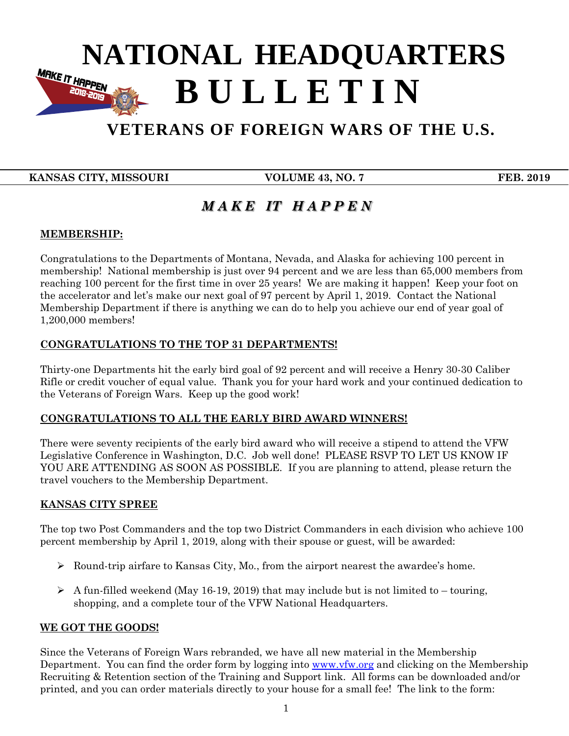# **B U L L E T I N NATIONAL HEADQUARTERS**<br> **RILL I F.T I N**

## **VETERANS OF FOREIGN WARS OF THE U.S.**

**EXAMSAS CITY, MISSOURI VOLUME 43, NO. 7** FEB. 2019

 **B U L L E T I N**

### *M A K E IT H A P P E N*

#### **MEMBERSHIP:**

Congratulations to the Departments of Montana, Nevada, and Alaska for achieving 100 percent in membership! National membership is just over 94 percent and we are less than 65,000 members from reaching 100 percent for the first time in over 25 years! We are making it happen! Keep your foot on the accelerator and let's make our next goal of 97 percent by April 1, 2019. Contact the National Membership Department if there is anything we can do to help you achieve our end of year goal of 1,200,000 members!

#### **CONGRATULATIONS TO THE TOP 31 DEPARTMENTS!**

Thirty-one Departments hit the early bird goal of 92 percent and will receive a Henry 30-30 Caliber Rifle or credit voucher of equal value. Thank you for your hard work and your continued dedication to the Veterans of Foreign Wars. Keep up the good work!

#### **CONGRATULATIONS TO ALL THE EARLY BIRD AWARD WINNERS!**

There were seventy recipients of the early bird award who will receive a stipend to attend the VFW Legislative Conference in Washington, D.C. Job well done! PLEASE RSVP TO LET US KNOW IF YOU ARE ATTENDING AS SOON AS POSSIBLE. If you are planning to attend, please return the travel vouchers to the Membership Department.

#### **KANSAS CITY SPREE**

The top two Post Commanders and the top two District Commanders in each division who achieve 100 percent membership by April 1, 2019, along with their spouse or guest, will be awarded:

- $\triangleright$  Round-trip airfare to Kansas City, Mo., from the airport nearest the awardee's home.
- $\triangleright$  A fun-filled weekend (May 16-19, 2019) that may include but is not limited to touring, shopping, and a complete tour of the VFW National Headquarters.

#### **WE GOT THE GOODS!**

Since the Veterans of Foreign Wars rebranded, we have all new material in the Membership Department. You can find the order form by logging into **www.vfw.org** and clicking on the Membership Recruiting & Retention section of the Training and Support link. All forms can be downloaded and/or printed, and you can order materials directly to your house for a small fee! The link to the form: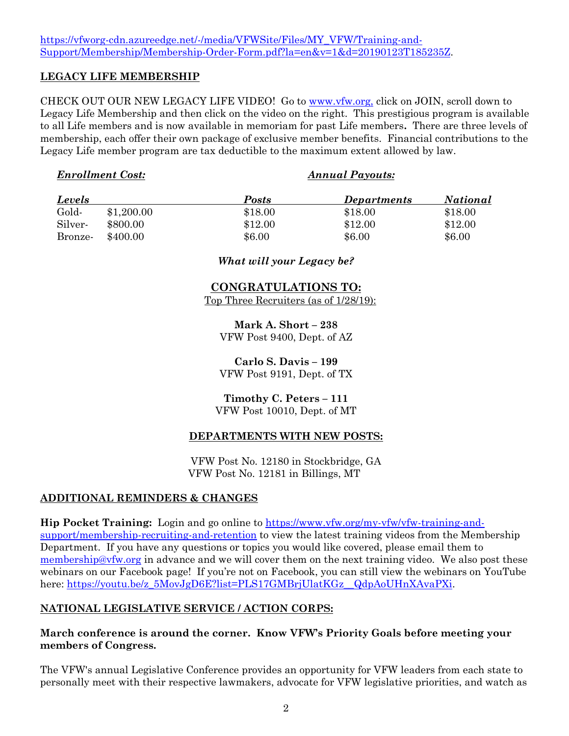#### [https://vfworg-cdn.azureedge.net/-/media/VFWSite/Files/MY\\_VFW/Training-and-](https://vfworg-cdn.azureedge.net/-/media/VFWSite/Files/MY_VFW/Training-and-Support/Membership/Membership-Order-Form.pdf?la=en&v=1&d=20190123T185235Z)[Support/Membership/Membership-Order-Form.pdf?la=en&v=1&d=20190123T185235Z.](https://vfworg-cdn.azureedge.net/-/media/VFWSite/Files/MY_VFW/Training-and-Support/Membership/Membership-Order-Form.pdf?la=en&v=1&d=20190123T185235Z)

#### **LEGACY LIFE MEMBERSHIP**

CHECK OUT OUR NEW LEGACY LIFE VIDEO! Go to [www.vfw.org,](http://www.vfw.org/) click on JOIN, scroll down to Legacy Life Membership and then click on the video on the right. This prestigious program is available to all Life members and is now available in memoriam for past Life members**.** There are three levels of membership, each offer their own package of exclusive member benefits. Financial contributions to the Legacy Life member program are tax deductible to the maximum extent allowed by law.

#### *Enrollment Cost: Annual Payouts:*

| <b>Levels</b> |            | Posts   | <b>Departments</b> | <i>National</i> |
|---------------|------------|---------|--------------------|-----------------|
| Gold-         | \$1,200.00 | \$18.00 | \$18.00            | \$18.00         |
| Silver-       | \$800.00   | \$12.00 | \$12.00            | \$12.00         |
| Bronze-       | \$400.00   | \$6.00  | \$6.00             | \$6.00          |

#### *What will your Legacy be?*

#### **CONGRATULATIONS TO:**

Top Three Recruiters (as of 1/28/19):

**Mark A. Short – 238** VFW Post 9400, Dept. of AZ

**Carlo S. Davis – 199** VFW Post 9191, Dept. of TX

**Timothy C. Peters – 111** VFW Post 10010, Dept. of MT

#### **DEPARTMENTS WITH NEW POSTS:**

VFW Post No. 12180 in Stockbridge, GA VFW Post No. 12181 in Billings, MT

#### **ADDITIONAL REMINDERS & CHANGES**

**Hip Pocket Training:** Login and go online to [https://www.vfw.org/my-vfw/vfw-training-and](https://www.vfw.org/my-vfw/vfw-training-and-support/membership-recruiting-and-retention)[support/membership-recruiting-and-retention](https://www.vfw.org/my-vfw/vfw-training-and-support/membership-recruiting-and-retention) to view the latest training videos from the Membership Department. If you have any questions or topics you would like covered, please email them to [membership@vfw.org](mailto:membership@vfw.org) in advance and we will cover them on the next training video. We also post these webinars on our Facebook page! If you're not on Facebook, you can still view the webinars on YouTube here: [https://youtu.be/z\\_5MovJgD6E?list=PLS17GMBrjUlatKGz\\_\\_QdpAoUHnXAvaPXi.](https://youtu.be/z_5MovJgD6E?list=PLS17GMBrjUlatKGz__QdpAoUHnXAvaPXi)

### **NATIONAL LEGISLATIVE SERVICE / ACTION CORPS:**

#### **March conference is around the corner. Know VFW's Priority Goals before meeting your members of Congress.**

The VFW's annual Legislative Conference provides an opportunity for VFW leaders from each state to personally meet with their respective lawmakers, advocate for VFW legislative priorities, and watch as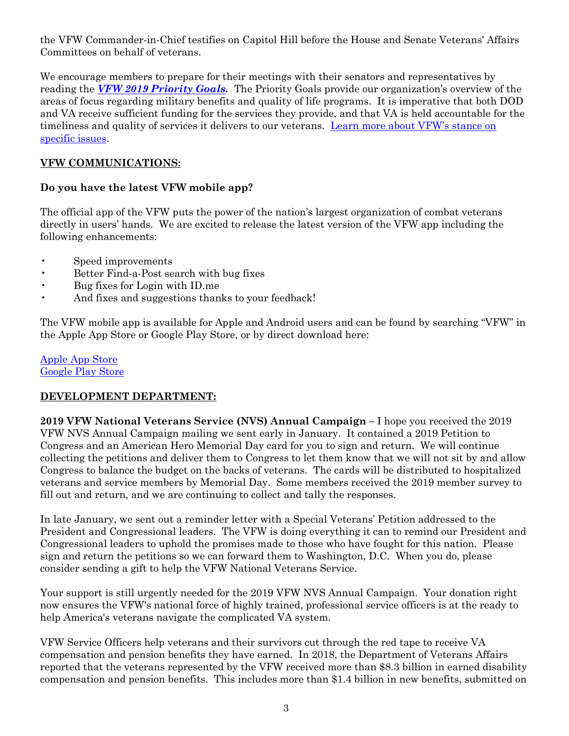the VFW Commander-in-Chief testifies on Capitol Hill before the House and Senate Veterans' Affairs Committees on behalf of veterans.

We encourage members to prepare for their meetings with their senators and representatives by reading the *[VFW 2019 Priority Goals.](https://www.vfw.org/-/media/vfwsite/files/advocacy/prioritygoalsbrochure.pdf)* The Priority Goals provide our organization's overview of the areas of focus regarding military benefits and quality of life programs. It is imperative that both DOD and VA receive sufficient funding for the services they provide, and that VA is held accountable for the timeliness and quality of services it delivers to our veterans. Learn more about VFW's stance on [specific issues.](https://www.vfw.org/advocacy/national-legislative-service/congressional-testimony/2018/12/tracking-transformation-va-mission-act-implementation)

#### **VFW COMMUNICATIONS:**

#### **Do you have the latest VFW mobile app?**

The official app of the VFW puts the power of the nation's largest organization of combat veterans directly in users' hands. We are excited to release the latest version of the VFW app including the following enhancements:

- Speed improvements
- Better Find-a-Post search with bug fixes
- Bug fixes for Login with ID.me
- And fixes and suggestions thanks to your feedback!

The VFW mobile app is available for Apple and Android users and can be found by searching "VFW" in the Apple App Store or Google Play Store, or by direct download here:

[Apple App Store](https://appsto.re/us/qKYXfb.i) [Google Play Store](https://play.google.com/store/apps/details?id=com.ajisoftware.vfw.stage)

#### **DEVELOPMENT DEPARTMENT:**

**2019 VFW National Veterans Service (NVS) Annual Campaign –** I hope you received the 2019 VFW NVS Annual Campaign mailing we sent early in January. It contained a 2019 Petition to Congress and an American Hero Memorial Day card for you to sign and return. We will continue collecting the petitions and deliver them to Congress to let them know that we will not sit by and allow Congress to balance the budget on the backs of veterans. The cards will be distributed to hospitalized veterans and service members by Memorial Day. Some members received the 2019 member survey to fill out and return, and we are continuing to collect and tally the responses.

In late January, we sent out a reminder letter with a Special Veterans' Petition addressed to the President and Congressional leaders. The VFW is doing everything it can to remind our President and Congressional leaders to uphold the promises made to those who have fought for this nation. Please sign and return the petitions so we can forward them to Washington, D.C. When you do, please consider sending a gift to help the VFW National Veterans Service.

Your support is still urgently needed for the 2019 VFW NVS Annual Campaign. Your donation right now ensures the VFW's national force of highly trained, professional service officers is at the ready to help America's veterans navigate the complicated VA system.

VFW Service Officers help veterans and their survivors cut through the red tape to receive VA compensation and pension benefits they have earned. In 2018, the Department of Veterans Affairs reported that the veterans represented by the VFW received more than \$8.3 billion in earned disability compensation and pension benefits. This includes more than \$1.4 billion in new benefits, submitted on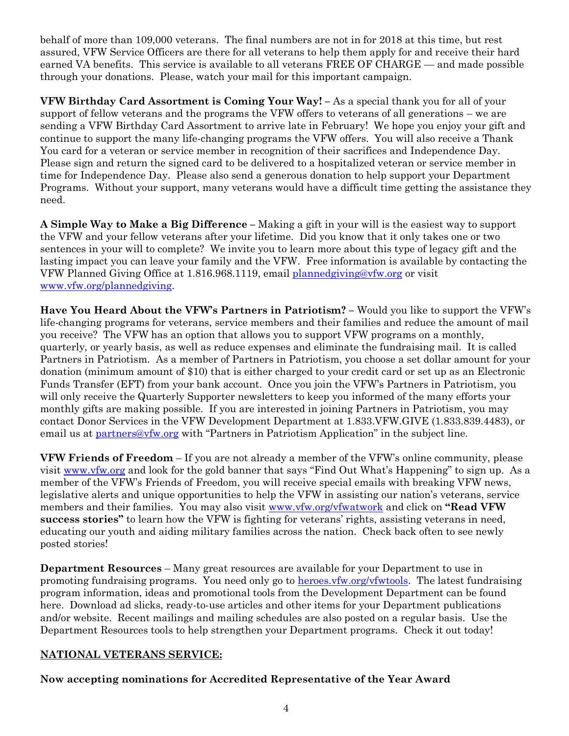behalf of more than 109,000 veterans. The final numbers are not in for 2018 at this time, but rest assured, VFW Service Officers are there for all veterans to help them apply for and receive their hard earned VA benefits. This service is available to all veterans FREE OF CHARGE — and made possible through your donations. Please, watch your mail for this important campaign.

**VFW Birthday Card Assortment is Coming Your Way! –** As a special thank you for all of your support of fellow veterans and the programs the VFW offers to veterans of all generations – we are sending a VFW Birthday Card Assortment to arrive late in February! We hope you enjoy your gift and continue to support the many life-changing programs the VFW offers. You will also receive a Thank You card for a veteran or service member in recognition of their sacrifices and Independence Day. Please sign and return the signed card to be delivered to a hospitalized veteran or service member in time for Independence Day. Please also send a generous donation to help support your Department Programs. Without your support, many veterans would have a difficult time getting the assistance they need.

**A Simple Way to Make a Big Difference –** Making a gift in your will is the easiest way to support the VFW and your fellow veterans after your lifetime. Did you know that it only takes one or two sentences in your will to complete? We invite you to learn more about this type of legacy gift and the lasting impact you can leave your family and the VFW. Free information is available by contacting the VFW Planned Giving Office at 1.816.968.1119, email [plannedgiving@vfw.org](mailto:plannedgiving@vfw.org) or visit [www.vfw.org/plannedgiving.](http://www.vfw.org/plannedgiving)

**Have You Heard About the VFW's Partners in Patriotism? –** Would you like to support the VFW's life-changing programs for veterans, service members and their families and reduce the amount of mail you receive? The VFW has an option that allows you to support VFW programs on a monthly, quarterly, or yearly basis, as well as reduce expenses and eliminate the fundraising mail. It is called Partners in Patriotism. As a member of Partners in Patriotism, you choose a set dollar amount for your donation (minimum amount of \$10) that is either charged to your credit card or set up as an Electronic Funds Transfer (EFT) from your bank account. Once you join the VFW's Partners in Patriotism, you will only receive the Quarterly Supporter newsletters to keep you informed of the many efforts your monthly gifts are making possible. If you are interested in joining Partners in Patriotism, you may contact Donor Services in the VFW Development Department at 1.833.VFW.GIVE (1.833.839.4483), or email us at [partners@vfw.org](mailto:partners@vfw.org) with "Partners in Patriotism Application" in the subject line.

**VFW Friends of Freedom** – If you are not already a member of the VFW's online community, please visit [www.vfw.org](http://www.vfw.org/) and look for the gold banner that says "Find Out What's Happening" to sign up. As a member of the VFW's Friends of Freedom, you will receive special emails with breaking VFW news, legislative alerts and unique opportunities to help the VFW in assisting our nation's veterans, service members and their families. You may also visit [www.vfw.org/vfwatwork](http://www.vfw.org/vfwatwork) and click on **"Read VFW success stories"** to learn how the VFW is fighting for veterans' rights, assisting veterans in need, educating our youth and aiding military families across the nation. Check back often to see newly posted stories!

**Department Resources** – Many great resources are available for your Department to use in promoting fundraising programs. You need only go to [heroes.vfw.org/vfwtools.](http://heroes.vfw.org/vfwtools) The latest fundraising program information, ideas and promotional tools from the Development Department can be found here. Download ad slicks, ready-to-use articles and other items for your Department publications and/or website. Recent mailings and mailing schedules are also posted on a regular basis. Use the Department Resources tools to help strengthen your Department programs. Check it out today!

#### **NATIONAL VETERANS SERVICE:**

#### **Now accepting nominations for Accredited Representative of the Year Award**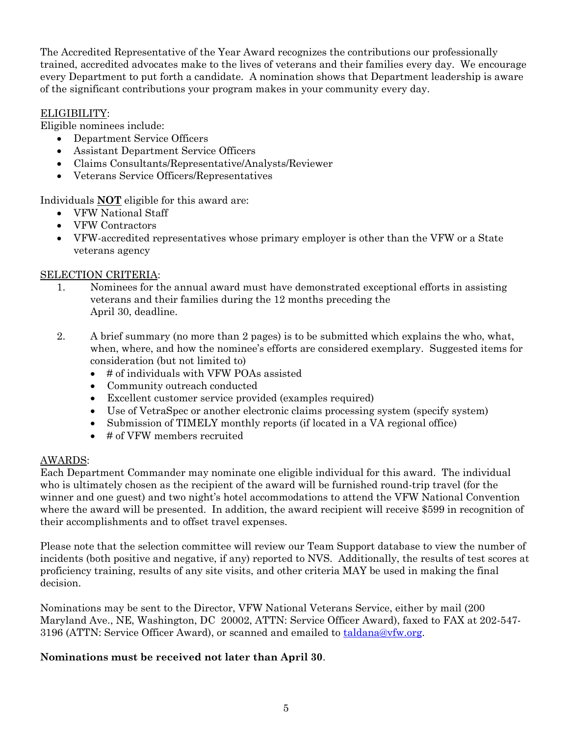The Accredited Representative of the Year Award recognizes the contributions our professionally trained, accredited advocates make to the lives of veterans and their families every day. We encourage every Department to put forth a candidate. A nomination shows that Department leadership is aware of the significant contributions your program makes in your community every day.

#### ELIGIBILITY:

Eligible nominees include:

- Department Service Officers
- Assistant Department Service Officers
- Claims Consultants/Representative/Analysts/Reviewer
- Veterans Service Officers/Representatives

Individuals **NOT** eligible for this award are:

- VFW National Staff
- VFW Contractors
- VFW-accredited representatives whose primary employer is other than the VFW or a State veterans agency

#### SELECTION CRITERIA:

- 1. Nominees for the annual award must have demonstrated exceptional efforts in assisting veterans and their families during the 12 months preceding the April 30, deadline.
- 2. A brief summary (no more than 2 pages) is to be submitted which explains the who, what, when, where, and how the nominee's efforts are considered exemplary. Suggested items for consideration (but not limited to)
	- # of individuals with VFW POAs assisted
	- Community outreach conducted
	- Excellent customer service provided (examples required)
	- Use of VetraSpec or another electronic claims processing system (specify system)
	- Submission of TIMELY monthly reports (if located in a VA regional office)
	- $\bullet$  # of VFW members recruited

#### AWARDS:

Each Department Commander may nominate one eligible individual for this award. The individual who is ultimately chosen as the recipient of the award will be furnished round-trip travel (for the winner and one guest) and two night's hotel accommodations to attend the VFW National Convention where the award will be presented. In addition, the award recipient will receive \$599 in recognition of their accomplishments and to offset travel expenses.

Please note that the selection committee will review our Team Support database to view the number of incidents (both positive and negative, if any) reported to NVS. Additionally, the results of test scores at proficiency training, results of any site visits, and other criteria MAY be used in making the final decision.

Nominations may be sent to the Director, VFW National Veterans Service, either by mail (200 Maryland Ave., NE, Washington, DC 20002, ATTN: Service Officer Award), faxed to FAX at 202-547- 3196 (ATTN: Service Officer Award), or scanned and emailed to [taldana@vfw.org.](mailto:taldana@vfw.org)

#### **Nominations must be received not later than April 30**.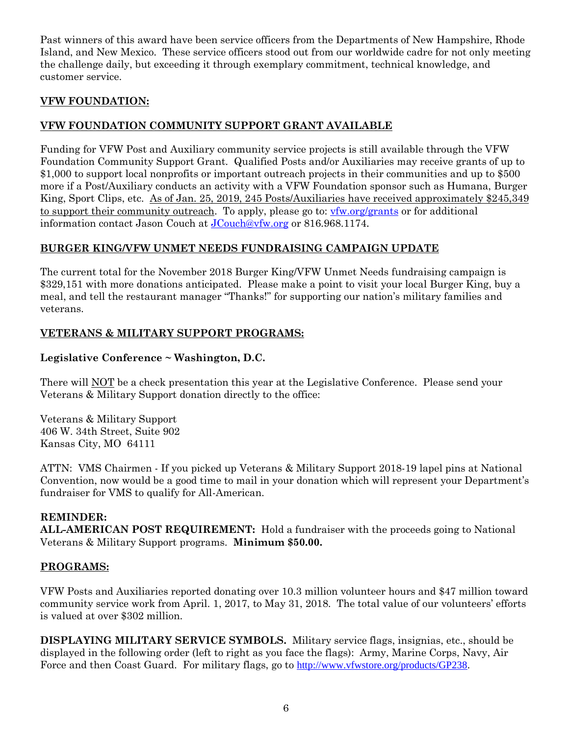Past winners of this award have been service officers from the Departments of New Hampshire, Rhode Island, and New Mexico. These service officers stood out from our worldwide cadre for not only meeting the challenge daily, but exceeding it through exemplary commitment, technical knowledge, and customer service.

#### **VFW FOUNDATION:**

#### **VFW FOUNDATION COMMUNITY SUPPORT GRANT AVAILABLE**

Funding for VFW Post and Auxiliary community service projects is still available through the VFW Foundation Community Support Grant. Qualified Posts and/or Auxiliaries may receive grants of up to \$1,000 to support local nonprofits or important outreach projects in their communities and up to \$500 more if a Post/Auxiliary conducts an activity with a VFW Foundation sponsor such as Humana, Burger King, Sport Clips, etc. As of Jan. 25, 2019, 245 Posts/Auxiliaries have received approximately \$245,349 to support their community outreach. To apply, please go to: [vfw.org/grants](https://www.vfw.org/community/community-initiatives/post-grants) or for additional information contact Jason Couch at [JCouch@vfw.org](mailto:JCouch@vfw.org) or 816.968.1174.

#### **BURGER KING/VFW UNMET NEEDS FUNDRAISING CAMPAIGN UPDATE**

The current total for the November 2018 Burger King/VFW Unmet Needs fundraising campaign is \$329,151 with more donations anticipated. Please make a point to visit your local Burger King, buy a meal, and tell the restaurant manager "Thanks!" for supporting our nation's military families and veterans.

#### **VETERANS & MILITARY SUPPORT PROGRAMS:**

#### **Legislative Conference ~ Washington, D.C.**

There will NOT be a check presentation this year at the Legislative Conference. Please send your Veterans & Military Support donation directly to the office:

Veterans & Military Support 406 W. 34th Street, Suite 902 Kansas City, MO 64111

ATTN: VMS Chairmen - If you picked up Veterans & Military Support 2018-19 lapel pins at National Convention, now would be a good time to mail in your donation which will represent your Department's fundraiser for VMS to qualify for All-American.

#### **REMINDER:**

**ALL-AMERICAN POST REQUIREMENT:** Hold a fundraiser with the proceeds going to National Veterans & Military Support programs. **Minimum \$50.00.**

#### **PROGRAMS:**

VFW Posts and Auxiliaries reported donating over 10.3 million volunteer hours and \$47 million toward community service work from April. 1, 2017, to May 31, 2018. The total value of our volunteers' efforts is valued at over \$302 million.

**DISPLAYING MILITARY SERVICE SYMBOLS.** Military service flags, insignias, etc., should be displayed in the following order (left to right as you face the flags): Army, Marine Corps, Navy, Air Force and then Coast Guard. For military flags, go to <http://www.vfwstore.org/products/GP238>.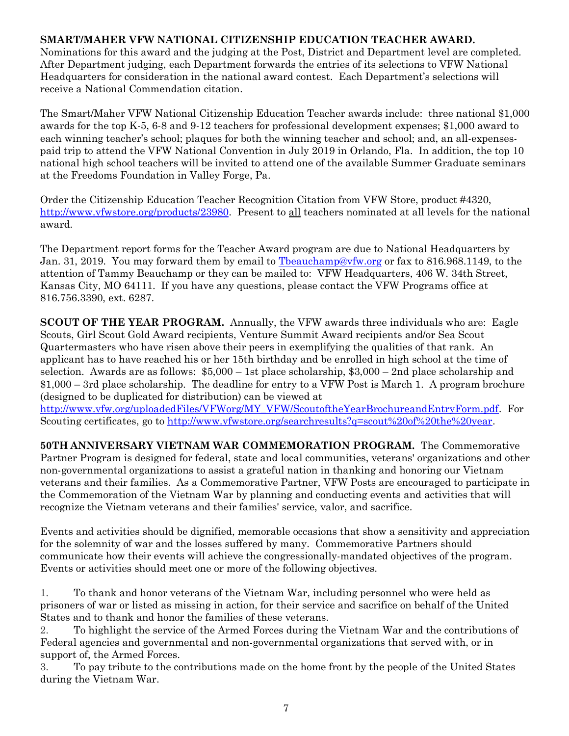#### **SMART/MAHER VFW NATIONAL CITIZENSHIP EDUCATION TEACHER AWARD.**

Nominations for this award and the judging at the Post, District and Department level are completed. After Department judging, each Department forwards the entries of its selections to VFW National Headquarters for consideration in the national award contest. Each Department's selections will receive a National Commendation citation.

The Smart/Maher VFW National Citizenship Education Teacher awards include: three national \$1,000 awards for the top K-5, 6-8 and 9-12 teachers for professional development expenses; \$1,000 award to each winning teacher's school; plaques for both the winning teacher and school; and, an all-expensespaid trip to attend the VFW National Convention in July 2019 in Orlando, Fla. In addition, the top 10 national high school teachers will be invited to attend one of the available Summer Graduate seminars at the Freedoms Foundation in Valley Forge, Pa.

Order the Citizenship Education Teacher Recognition Citation from VFW Store, product #4320, [http://www.vfwstore.org/products/23980.](http://www.vfwstore.org/products/23980) Present to all teachers nominated at all levels for the national award.

The Department report forms for the Teacher Award program are due to National Headquarters by Jan. 31, 2019. You may forward them by email to [Tbeauchamp@vfw.org](mailto:Tbeauchamp@vfw.org) or fax to 816.968.1149, to the attention of Tammy Beauchamp or they can be mailed to: VFW Headquarters, 406 W. 34th Street, Kansas City, MO 64111. If you have any questions, please contact the VFW Programs office at 816.756.3390, ext. 6287.

**SCOUT OF THE YEAR PROGRAM.** Annually, the VFW awards three individuals who are: Eagle Scouts, Girl Scout Gold Award recipients, Venture Summit Award recipients and/or Sea Scout Quartermasters who have risen above their peers in exemplifying the qualities of that rank. An applicant has to have reached his or her 15th birthday and be enrolled in high school at the time of selection. Awards are as follows: \$5,000 – 1st place scholarship, \$3,000 – 2nd place scholarship and \$1,000 – 3rd place scholarship. The deadline for entry to a VFW Post is March 1. A program brochure (designed to be duplicated for distribution) can be viewed at [http://www.vfw.org/uploadedFiles/VFWorg/MY\\_VFW/ScoutoftheYearBrochureandEntryForm.pdf.](http://www.vfw.org/uploadedFiles/VFWorg/MY_VFW/ScoutoftheYearBrochureandEntryForm.pdf) For

Scouting certificates, go to [http://www.vfwstore.org/searchresults?q=scout%20of%20the%20year.](http://www.vfwstore.org/searchresults?q=scout%20of%20the%20year)

**50TH ANNIVERSARY VIETNAM WAR COMMEMORATION PROGRAM.** The Commemorative Partner Program is designed for federal, state and local communities, veterans' organizations and other non-governmental organizations to assist a grateful nation in thanking and honoring our Vietnam veterans and their families. As a Commemorative Partner, VFW Posts are encouraged to participate in the Commemoration of the Vietnam War by planning and conducting events and activities that will recognize the Vietnam veterans and their families' service, valor, and sacrifice.

Events and activities should be dignified, memorable occasions that show a sensitivity and appreciation for the solemnity of war and the losses suffered by many. Commemorative Partners should communicate how their events will achieve the congressionally-mandated objectives of the program. Events or activities should meet one or more of the following objectives.

1. To thank and honor veterans of the Vietnam War, including personnel who were held as prisoners of war or listed as missing in action, for their service and sacrifice on behalf of the United States and to thank and honor the families of these veterans.

2. To highlight the service of the Armed Forces during the Vietnam War and the contributions of Federal agencies and governmental and non-governmental organizations that served with, or in support of, the Armed Forces.

3. To pay tribute to the contributions made on the home front by the people of the United States during the Vietnam War.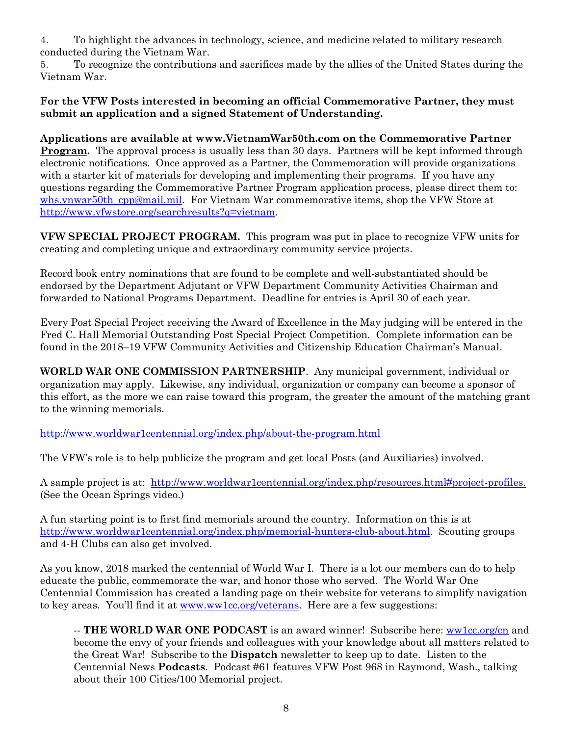4. To highlight the advances in technology, science, and medicine related to military research conducted during the Vietnam War.

5. To recognize the contributions and sacrifices made by the allies of the United States during the Vietnam War.

#### **For the VFW Posts interested in becoming an official Commemorative Partner, they must submit an application and a signed Statement of Understanding.**

**Applications are available at [www.VietnamWar50th.com](http://www.vietnamwar50th.com/) on the Commemorative Partner Program.** The approval process is usually less than 30 days. Partners will be kept informed through electronic notifications. Once approved as a Partner, the Commemoration will provide organizations with a starter kit of materials for developing and implementing their programs. If you have any questions regarding the Commemorative Partner Program application process, please direct them to: [whs.vnwar50th\\_cpp@mail.mil.](mailto:whs.vnwar50th_cpp@mail.mil) For Vietnam War commemorative items, shop the VFW Store at [http://www.vfwstore.org/searchresults?q=vietnam.](http://www.vfwstore.org/searchresults?q=vietnam)

**VFW SPECIAL PROJECT PROGRAM.** This program was put in place to recognize VFW units for creating and completing unique and extraordinary community service projects.

Record book entry nominations that are found to be complete and well-substantiated should be endorsed by the Department Adjutant or VFW Department Community Activities Chairman and forwarded to National Programs Department. Deadline for entries is April 30 of each year.

Every Post Special Project receiving the Award of Excellence in the May judging will be entered in the Fred C. Hall Memorial Outstanding Post Special Project Competition. Complete information can be found in the 2018–19 VFW Community Activities and Citizenship Education Chairman's Manual.

**WORLD WAR ONE COMMISSION PARTNERSHIP**. Any municipal government, individual or organization may apply. Likewise, any individual, organization or company can become a sponsor of this effort, as the more we can raise toward this program, the greater the amount of the matching grant to the winning memorials.

<http://www.worldwar1centennial.org/index.php/about-the-program.html>

The VFW's role is to help publicize the program and get local Posts (and Auxiliaries) involved.

A sample project is at: [http://www.worldwar1centennial.org/index.php/resources.html#project-profiles.](http://www.worldwar1centennial.org/index.php/resources.html#project-profiles) (See the Ocean Springs video.)

A fun starting point is to first find memorials around the country. Information on this is at [http://www.worldwar1centennial.org/index.php/memorial-hunters-club-about.html.](http://www.worldwar1centennial.org/index.php/memorial-hunters-club-about.html) Scouting groups and 4-H Clubs can also get involved.

As you know, 2018 marked the centennial of World War I. There is a lot our members can do to help educate the public, commemorate the war, and honor those who served. The World War One Centennial Commission has created a landing page on their website for veterans to simplify navigation to key areas. You'll find it at [www.ww1cc.org/veterans.](http://www.ww1cc.org/veterans) Here are a few suggestions:

-- **THE WORLD WAR ONE PODCAST** is an award winner! Subscribe here: [ww1cc.org/cn](http://ww1cc.org/cn) and become the envy of your friends and colleagues with your knowledge about all matters related to the Great War!Subscribe to the **Dispatch** newsletter to keep up to date. Listen to the Centennial News **Podcasts**. Podcast #61 features VFW Post 968 in Raymond, Wash., talking about their 100 Cities/100 Memorial project.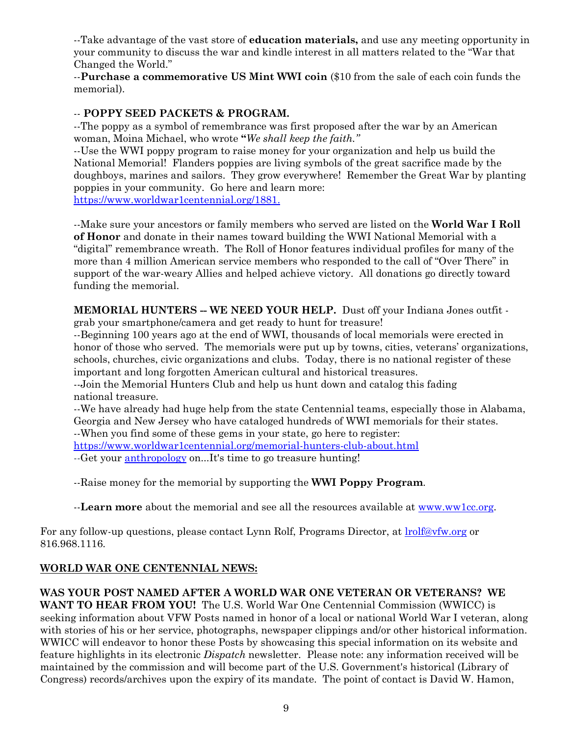--Take advantage of the vast store of **education materials,** and use any meeting opportunity in your community to discuss the war and kindle interest in all matters related to the "War that Changed the World."

--**Purchase a commemorative US Mint WWI coin** (\$10 from the sale of each coin funds the memorial).

#### -- **POPPY SEED PACKETS & PROGRAM.**

--The poppy as a symbol of remembrance was first proposed after the war by an American woman, Moina Michael, who wrote **"***We shall keep the faith."* 

--Use the WWI poppy program to raise money for your organization and help us build the National Memorial! Flanders poppies are living symbols of the great sacrifice made by the doughboys, marines and sailors. They grow everywhere! Remember the Great War by planting poppies in your community. Go here and learn more: [https://www.worldwar1centennial.org/1881.](https://www.worldwar1centennial.org/1881)

--Make sure your ancestors or family members who served are listed on the **World War I Roll of Honor** and donate in their names toward building the WWI National Memorial with a "digital" remembrance wreath. The Roll of Honor features individual profiles for many of the more than 4 million American service members who responded to the call of "Over There" in support of the war-weary Allies and helped achieve victory. All donations go directly toward funding the memorial.

**MEMORIAL HUNTERS -- WE NEED YOUR HELP.** Dust off your Indiana Jones outfit grab your smartphone/camera and get ready to hunt for treasure!

--Beginning 100 years ago at the end of WWI, thousands of local memorials were erected in honor of those who served. The memorials were put up by towns, cities, veterans' organizations, schools, churches, civic organizations and clubs. Today, there is no national register of these important and long forgotten American cultural and historical treasures.

--Join the Memorial Hunters Club and help us hunt down and catalog this fading national treasure.

--We have already had huge help from the state Centennial teams, especially those in Alabama, Georgia and New Jersey who have cataloged hundreds of WWI memorials for their states.

--When you find some of these gems in your state, go here to register:

<https://www.worldwar1centennial.org/memorial-hunters-club-about.html>

--Get your [anthropology](http://www.merriam-webster.com/dictionary/anthropology) on...It's time to go treasure hunting!

--Raise money for the memorial by supporting the **WWI Poppy Program**.

--**Learn more** about the memorial and see all the resources available at [www.ww1cc.org.](http://www.ww1cc.org/)

For any follow-up questions, please contact Lynn Rolf, Programs Director, at **lrolf@vfw.org** or 816.968.1116.

#### **WORLD WAR ONE CENTENNIAL NEWS:**

#### **WAS YOUR POST NAMED AFTER A WORLD WAR ONE VETERAN OR VETERANS? WE**

**WANT TO HEAR FROM YOU!** The U.S. World War One Centennial Commission (WWICC) is seeking information about VFW Posts named in honor of a local or national World War I veteran, along with stories of his or her service, photographs, newspaper clippings and/or other historical information. WWICC will endeavor to honor these Posts by showcasing this special information on its website and feature highlights in its electronic *Dispatch* newsletter. Please note: any information received will be maintained by the commission and will become part of the U.S. Government's historical (Library of Congress) records/archives upon the expiry of its mandate. The point of contact is David W. Hamon,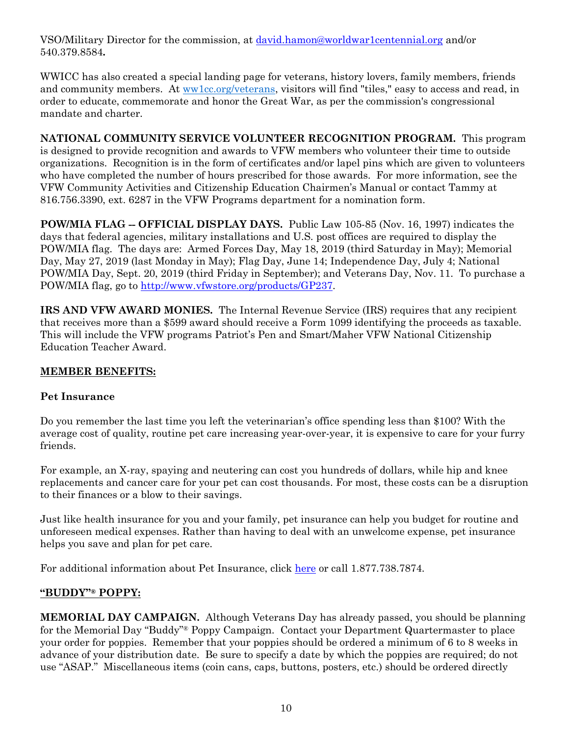VSO/Military Director for the commission, at [david.hamon@worldwar1centennial.org](mailto:david.hamon@worldwar1centennial.org) and/or 540.379.8584**.**

WWICC has also created a special landing page for veterans, history lovers, family members, friends and community members. At [ww1cc.org/veterans,](http://ww1cc.org/veterans) visitors will find "tiles," easy to access and read, in order to educate, commemorate and honor the Great War, as per the commission's congressional mandate and charter.

**NATIONAL COMMUNITY SERVICE VOLUNTEER RECOGNITION PROGRAM.** This program is designed to provide recognition and awards to VFW members who volunteer their time to outside organizations. Recognition is in the form of certificates and/or lapel pins which are given to volunteers who have completed the number of hours prescribed for those awards. For more information, see the VFW Community Activities and Citizenship Education Chairmen's Manual or contact Tammy at 816.756.3390, ext. 6287 in the VFW Programs department for a nomination form.

**POW/MIA FLAG -- OFFICIAL DISPLAY DAYS.** Public Law 105-85 (Nov. 16, 1997) indicates the days that federal agencies, military installations and U.S. post offices are required to display the POW/MIA flag. The days are: Armed Forces Day, May 18, 2019 (third Saturday in May); Memorial Day, May 27, 2019 (last Monday in May); Flag Day, June 14; Independence Day, July 4; National POW/MIA Day, Sept. 20, 2019 (third Friday in September); and Veterans Day, Nov. 11. To purchase a POW/MIA flag, go to [http://www.vfwstore.org/products/GP237.](http://www.vfwstore.org/products/GP237)

**IRS AND VFW AWARD MONIES.** The Internal Revenue Service (IRS) requires that any recipient that receives more than a \$599 award should receive a Form 1099 identifying the proceeds as taxable. This will include the VFW programs Patriot's Pen and Smart/Maher VFW National Citizenship Education Teacher Award.

#### **MEMBER BENEFITS:**

#### **Pet Insurance**

Do you remember the last time you left the veterinarian's office spending less than \$100? With the average cost of quality, routine pet care increasing year-over-year, it is expensive to care for your furry friends.

For example, an X-ray, spaying and neutering can cost you hundreds of dollars, while hip and knee replacements and cancer care for your pet can cost thousands. For most, these costs can be a disruption to their finances or a blow to their savings.

Just like health insurance for you and your family, pet insurance can help you budget for routine and unforeseen medical expenses. Rather than having to deal with an unwelcome expense, pet insurance helps you save and plan for pet care.

For additional information about Pet Insurance, click [here](https://vfwinsurance.com/life-planning/#pet-insurance) or call 1.877.738.7874.

#### **"BUDDY"® POPPY:**

**MEMORIAL DAY CAMPAIGN.** Although Veterans Day has already passed, you should be planning for the Memorial Day "Buddy"® Poppy Campaign. Contact your Department Quartermaster to place your order for poppies. Remember that your poppies should be ordered a minimum of 6 to 8 weeks in advance of your distribution date. Be sure to specify a date by which the poppies are required; do not use "ASAP." Miscellaneous items (coin cans, caps, buttons, posters, etc.) should be ordered directly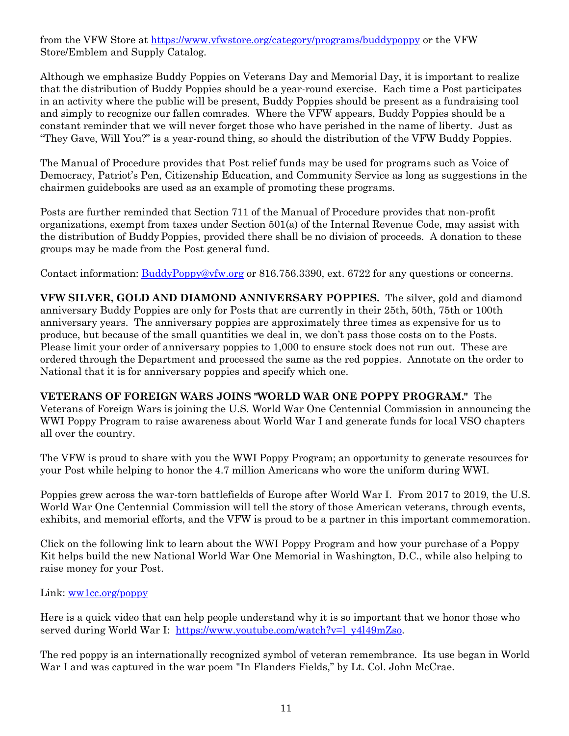from the VFW Store at<https://www.vfwstore.org/category/programs/buddypoppy> or the VFW Store/Emblem and Supply Catalog.

Although we emphasize Buddy Poppies on Veterans Day and Memorial Day, it is important to realize that the distribution of Buddy Poppies should be a year-round exercise. Each time a Post participates in an activity where the public will be present, Buddy Poppies should be present as a fundraising tool and simply to recognize our fallen comrades. Where the VFW appears, Buddy Poppies should be a constant reminder that we will never forget those who have perished in the name of liberty. Just as "They Gave, Will You?" is a year-round thing, so should the distribution of the VFW Buddy Poppies.

The Manual of Procedure provides that Post relief funds may be used for programs such as Voice of Democracy, Patriot's Pen, Citizenship Education, and Community Service as long as suggestions in the chairmen guidebooks are used as an example of promoting these programs.

Posts are further reminded that Section 711 of the Manual of Procedure provides that non-profit organizations, exempt from taxes under Section 501(a) of the Internal Revenue Code, may assist with the distribution of Buddy Poppies, provided there shall be no division of proceeds. A donation to these groups may be made from the Post general fund.

Contact information: [BuddyPoppy@vfw.org](mailto:BuddyPoppy@vfw.org) or 816.756.3390, ext. 6722 for any questions or concerns.

**VFW SILVER, GOLD AND DIAMOND ANNIVERSARY POPPIES.** The silver, gold and diamond anniversary Buddy Poppies are only for Posts that are currently in their 25th, 50th, 75th or 100th anniversary years. The anniversary poppies are approximately three times as expensive for us to produce, but because of the small quantities we deal in, we don't pass those costs on to the Posts. Please limit your order of anniversary poppies to 1,000 to ensure stock does not run out. These are ordered through the Department and processed the same as the red poppies. Annotate on the order to National that it is for anniversary poppies and specify which one.

**VETERANS OF FOREIGN WARS JOINS "WORLD WAR ONE POPPY PROGRAM."** The Veterans of Foreign Wars is joining the U.S. World War One Centennial Commission in announcing the WWI Poppy Program to raise awareness about World War I and generate funds for local VSO chapters all over the country.

The VFW is proud to share with you the WWI Poppy Program; an opportunity to generate resources for your Post while helping to honor the 4.7 million Americans who wore the uniform during WWI.

Poppies grew across the war-torn battlefields of Europe after World War I. From 2017 to 2019, the U.S. World War One Centennial Commission will tell the story of those American veterans, through events, exhibits, and memorial efforts, and the VFW is proud to be a partner in this important commemoration.

Click on the following link to learn about the WWI Poppy Program and how your purchase of a Poppy Kit helps build the new National World War One Memorial in Washington, D.C., while also helping to raise money for your Post.

Link: [ww1cc.org/poppy](http://ww1cc.org/poppy)

Here is a quick video that can help people understand why it is so important that we honor those who served during World War I: [https://www.youtube.com/watch?v=l\\_y4l49mZso.](https://www.youtube.com/watch?v=l_y4l49mZso)

The red poppy is an internationally recognized symbol of veteran remembrance. Its use began in World War I and was captured in the war poem "In Flanders Fields," by Lt. Col. John McCrae.